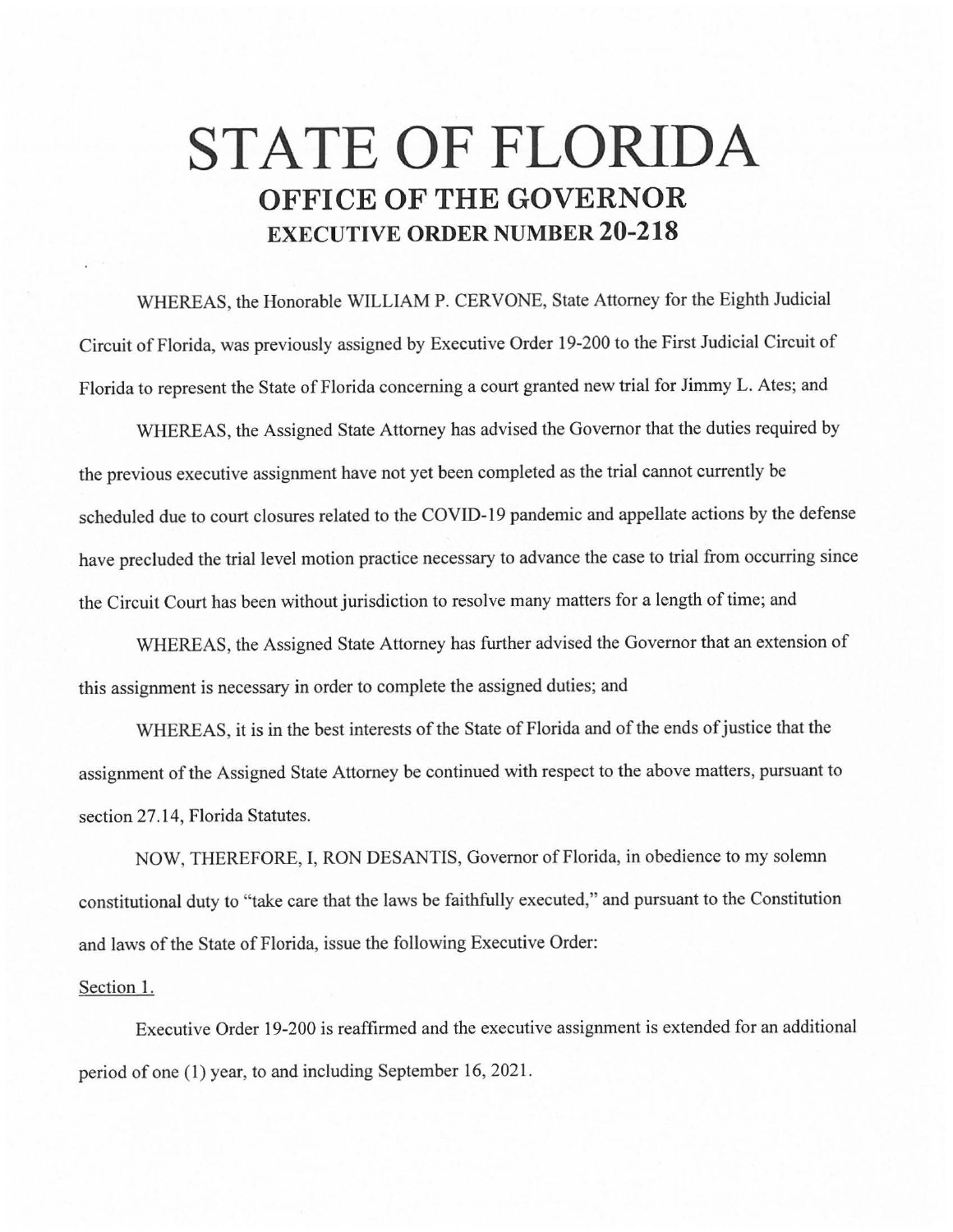## **STATE OF FLORIDA OFFICE OF THE GOVERNOR EXECUTIVE ORDER NUMBER 20-218**

WHEREAS, the Honorable WILLIAM P. CERVONE, State Attorney for the Eighth Judicial Circuit of Florida, was previously assigned by Executive Order 19-200 to the First Judicial Circuit of Florida to represent the State of Florida concerning a court granted new trial for Jimmy L. Ates; and

WHEREAS, the Assigned State Attorney has advised the Governor that the duties required by the previous executive assignment have not yet been completed as the trial cannot currently be scheduled due to court closures related to the COVID-19 pandemic and appellate actions by the defense have precluded the trial level motion practice necessary to advance the case to trial from occurring since the Circuit Court has been without jurisdiction to resolve many matters for a length of time; and

WHEREAS, the Assigned State Attorney has further advised the Governor that an extension of this assignment is necessary in order to complete the assigned duties; and

WHEREAS, it is in the best interests of the State of Florida and of the ends of justice that the assignment of the Assigned State Attorney be continued with respect to the above matters, pursuant to section 27.14, Florida Statutes.

NOW, THEREFORE, I, RON DESANTIS, Governor of Florida, in obedience to my solemn constitutional duty to "take care that the laws be faithfully executed," and pursuant to the Constitution and laws of the State of Florida, issue the following Executive Order:

## Section 1.

Executive Order 19-200 is reaffirmed and the executive assignment is extended for an additional period of one (1) year, to and including September 16, 2021.